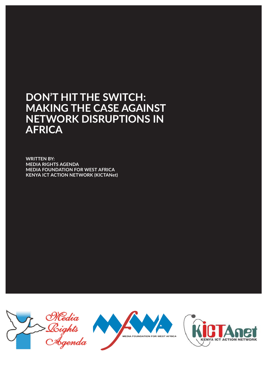# **DON'T HIT THE SWITCH: MAKING THE CASE AGAINST NETWORK DISRUPTIONS IN AFRICA**

**WRITTEN BY: MEDIA RIGHTS AGENDA MEDIA FOUNDATION FOR WEST AFRICA KENYA ICT ACTION NETWORK (KICTANet)**





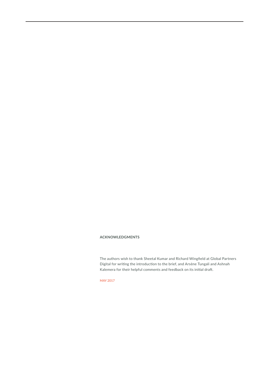#### **ACKNOWLEDGMENTS**

The authors wish to thank Sheetal Kumar and Richard Wingfield at Global Partners Digital for writing the introduction to the brief, and Arsène Tungali and Ashnah Kalemera for their helpful comments and feedback on its initial draft.

MAY 2017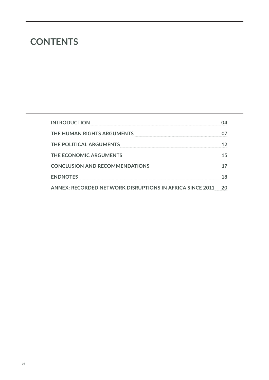# **CONTENTS**

| <b>INTRODUCTION</b>                                             |  |
|-----------------------------------------------------------------|--|
| THE HUMAN RIGHTS ARGUMENTS                                      |  |
| THE POLITICAL ARGUMENTS                                         |  |
| THE ECONOMIC ARGUMENTS                                          |  |
| <b>CONCLUSION AND RECOMMENDATIONS</b>                           |  |
| <b>ENDNOTES</b>                                                 |  |
| <b>ANNEX: RECORDED NETWORK DISRUPTIONS IN AFRICA SINCE 2011</b> |  |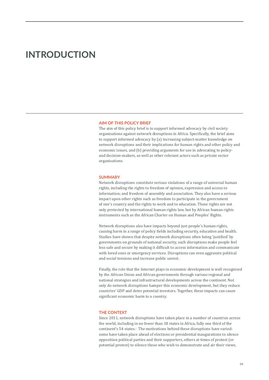## **INTRODUCTION**

#### **AIM OF THIS POLICY BRIEF**

The aim of this policy brief is to support informed advocacy by civil society organisations against network disruptions in Africa. Specifically, the brief aims to support informed advocacy by (a) increasing subject-matter knowledge on network disruptions and their implications for human rights and other policy and economic issues, and (b) providing arguments for use in advocating to policyand decision-makers, as well as other relevant actors such as private sector organisations.

#### **SUMMARY**

Network disruptions constitute serious violations of a range of universal human rights, including the rights to freedom of opinion, expression and access to information; and freedom of assembly and association. They also have a serious impact upon other rights such as freedom to participate in the government of one's country and the rights to work and to education. These rights are not only protected by international human rights law, but by African human rights instruments such as the African Charter on Human and Peoples' Rights.

Network disruptions also have impacts beyond just people's human rights, causing harm in a range of policy fields including security, education and health. Studies have shown that despite network disruptions often being 'justified' by governments on grounds of national security, such disruptions make people feel less safe and secure by making it difficult to access information and communicate with loved ones or emergency services. Disruptions can even aggravate political and social tensions and increase public unrest.

Finally, the role that the Internet plays in economic development is well recognised by the African Union and African governments through various regional and national strategies and infrastructural developments across the continent. Not only do network disruptions hamper this economic development, but they reduce countries' GDP and deter potential investors. Together, these impacts can cause significant economic harm to a country.

#### **THE CONTEXT**

Since 2011, network disruptions have taken place in a number of countries across the world, including in no fewer than 18 states in Africa, fully one third of the continent's 54 states.1 The motivations behind these disruptions have varied: some have taken place ahead of elections or presidential inaugurations to silence opposition political parties and their supporters, others at times of protest (or potential protest) to silence those who wish to demonstrate and air their views,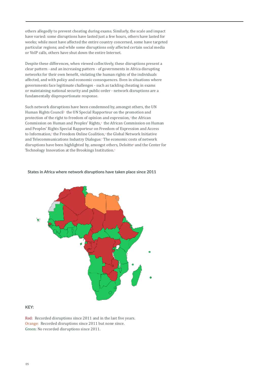others allegedly to prevent cheating during exams. Similarly, the scale and impact have varied: some disruptions have lasted just a few hours, others have lasted for weeks; while most have affected the entire country concerned, some have targeted particular regions; and while some disruptions only affected certain social media or VoIP calls, others have shut down the entire Internet.

Despite these differences, when viewed collectively, these disruptions present a clear pattern - and an increasing pattern - of governments in Africa disrupting networks for their own benefit, violating the human rights of the individuals affected, and with policy and economic consequences. Even in situations where governments face legitimate challenges - such as tackling cheating in exams or maintaining national security and public order - network disruptions are a fundamentally disproportionate response.

Such network disruptions have been condemned by, amongst others, the UN Human Rights Council2 the UN Special Rapporteur on the promotion and protection of the right to freedom of opinion and expression,<sup>3</sup> the African Commission on Human and Peoples' Rights,<sup>4</sup> the African Commission on Human and Peoples' Rights Special Rapporteur on Freedom of Expression and Access to Information,<sup>s</sup> the Freedom Online Coalition,<sup>c</sup> the Global Network Initiative and Telecommunications Industry Dialogue.<sup>7</sup> The economic costs of network disruptions have been highlighted by, amongst others, Deloitte® and the Center for Technology Innovation at the Brookings Institution.<sup>9</sup>

#### **States in Africa where network disruptions have taken place since 2011**



### **KEY:**

Red: Recorded disruptions since 2011 and in the last five years. Orange: Recorded disruptions since 2011 but none since. Green: No recorded disruptions since 2011.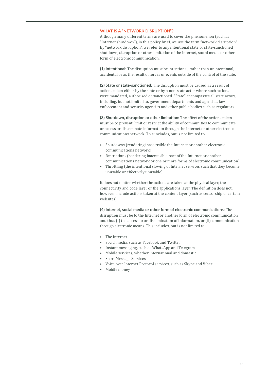#### **WHAT IS A "NETWORK DISRUPTION"?**

Although many different terms are used to cover the phenomenon (such as "Internet shutdown"), in this policy brief, we use the term "network disruption". By "network disruption", we refer to any intentional state or state-sanctioned shutdown, disruption or other limitation of the Internet, social media or other form of electronic communication.

**(1) Intentional:** The disruption must be intentional, rather than unintentional, accidental or as the result of forces or events outside of the control of the state.

**(2) State or state-sanctioned:** The disruption must be caused as a result of actions taken either by the state or by a non-state actor where such actions were mandated, authorised or sanctioned. "State" encompasses all state actors, including, but not limited to, government departments and agencies, law enforcement and security agencies and other public bodies such as regulators.

**(3) Shutdown, disruption or other limitation:** The effect of the actions taken must be to prevent, limit or restrict the ability of communities to communicate or access or disseminate information through the Internet or other electronic communications network. This includes, but is not limited to:

- Shutdowns (rendering inaccessible the Internet or another electronic communications network)
- Restrictions (rendering inaccessible part of the Internet or another communications network or one or more forms of electronic communication)
- Throttling (the intentional slowing of Internet services such that they become unusable or effectively unusable)

It does not matter whether the actions are taken at the physical layer, the connectivity and code layer or the applications layer. The definition does not, however, include actions taken at the content layer (such as censorship of certain websites).

**(4) Internet, social media or other form of electronic communications:** The disruption must be to the Internet or another form of electronic communication and thus (i) the access to or dissemination of information, or (ii) communication through electronic means. This includes, but is not limited to:

- The Internet
- Social media, such as Facebook and Twitter
- Instant messaging, such as WhatsApp and Telegram
- Mobile services, whether international and domestic
- Short Message Services
- Voice over Internet Protocol services, such as Skype and Viber
- Mobile money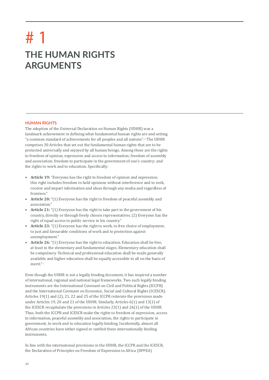# **THE HUMAN RIGHTS ARGUMENTS** # 1

#### **HUMAN RIGHTS**

The adoption of the Universal Declaration on Human Rights (UDHR) was a landmark achievement in defining what fundamental human rights are and setting "a common standard of achievements for all peoples and all nations".10 The UDHR comprises 30 Articles that set out the fundamental human rights that are to be protected universally and enjoyed by all human beings. Among these are the rights to freedom of opinion, expression and access to information; freedom of assembly and association; freedom to participate in the government of one's country; and the rights to work and to education. Specifically:

- **• Article 19:** "Everyone has the right to freedom of opinion and expression; this right includes freedom to hold opinions without interference and to seek, receive and impart information and ideas through any media and regardless of frontiers."
- **• Article 20:** "(1) Everyone has the right to freedom of peaceful assembly and association."
- **• Article 21:** "(1) Everyone has the right to take part in the government of his country, directly or through freely chosen representatives. (2) Everyone has the right of equal access to public service in his country."
- **• Article 23:** "(1) Everyone has the right to work, to free choice of employment, to just and favourable conditions of work and to protection against unemployment."
- **• Article 26:** "(1) Everyone has the right to education. Education shall be free, at least in the elementary and fundamental stages. Elementary education shall be compulsory. Technical and professional education shall be made generally available and higher education shall be equally accessible to all on the basis of merit."11

Even though the UDHR is not a legally binding document, it has inspired a number of international, regional and national legal frameworks. Two such legally binding instruments are the International Covenant on Civil and Political Rights (ICCPR) and the International Covenant on Economic, Social and Cultural Rights (ICESCR). Articles 19(1) and (2), 21, 22 and 25 of the ICCPR reiterate the provisions made under Articles 19, 20 and 21 of the UDHR. Similarly, Articles 6(1) and 13(1) of the ICESCR recapitulate the provisions in Articles 23(1) and 26(1) of the UDHR. Thus, both the ICCPR and ICESCR make the rights to freedom of expression, access to information, peaceful assembly and association, the rights to participate in government, to work and to education legally binding. Incidentally, almost all African countries have either signed or ratified these internationally binding instruments.

In line with the international provisions in the UDHR, the ICCPR and the ICESCR, the Declaration of Principles on Freedom of Expression in Africa (DPFEA)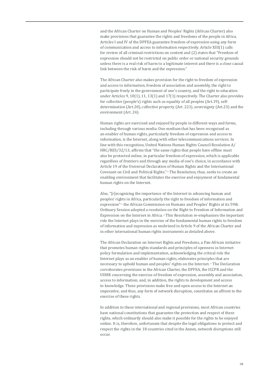and the African Charter on Human and Peoples' Rights (African Charter) also make provisions that guarantee the rights and freedoms of the people in Africa. Articles I and IV of the DPFEA guarantee freedom of expression using any form of communication and access to information respectively. Article XIII(1) calls for review of all criminal restrictions on content and (2) states that "Freedom of expression should not be restricted on public order or national security grounds unless there is a real risk of harm to a legitimate interest and there is a close causal link between the risk of harm and the expression."

The African Charter also makes provision for the right to freedom of expression and access to information, freedom of association and assembly, the right to participate freely in the government of one's country, and the right to education under Articles 9, 10(1), 11, 13(1) and 17(1) respectively. The Charter also provides for collective (people's) rights such as equality of all peoples (Art.19), selfdetermination (Art.20), collective property (Art. 221), sovereignty (Art.23) and the environment (Art. 24).

Human rights are exercised and enjoyed by people in different ways and forms, including through various media. One medium that has been recognised as an enabler of human rights, particularly freedom of expression and access to information, is the Internet, along with other telecommunications services. In line with this recognition, United Nations Human Rights Council Resolution A/ HRC/RES/32/13, affirms that "the same rights that people have offline must also be protected online, in particular freedom of expression, which is applicable regardless of frontiers and through any media of one's choice, in accordance with Article 19 of the Universal Declaration of Human Rights and the International Covenant on Civil and Political Rights."12 The Resolution, thus, seeks to create an enabling environment that facilitates the exercise and enjoyment of fundamental human rights on the Internet.

Also, "[r]ecognizing the importance of the Internet in advancing human and peoples' rights in Africa, particularly the right to freedom of information and expression"13 the African Commission on Humans and Peoples' Rights at its 59th Ordinary Session adopted a resolution on the Right to Freedom of Information and Expression on the Internet in Africa.<sup>14</sup> This Resolution re-emphasises the important role the Internet plays in the exercise of the fundamental human rights to freedom of information and expression as enshrined in Article 9 of the African Charter and in other international human rights instruments as detailed above.

The African Declaration on Internet Rights and Freedoms, a Pan-African initiative that promotes human rights standards and principles of openness in Internet policy formulation and implementation, acknowledging the critical role the Internet plays as an enabler of human rights, elaborates principles that are necessary to uphold human and peoples' rights on the Internet.15 The Declaration corroborates provisions in the African Charter, the DPFEA, the ICCPR and the UDHR concerning the exercise of freedom of expression, assembly and association, access to information; and, in addition, the rights to development and access to knowledge. These provisions make free and open access to the Internet an imperative, and thus, any form of network disruption, constitutes an affront to the exercise of these rights.

In addition to these international and regional provisions, most African countries have national constitutions that guarantee the protection and respect of these rights, which ordinarily should also make it possible for the rights to be enjoyed online. It is, therefore, unfortunate that despite the legal obligations to protect and respect the rights in the 18 countries cited in the Annex, network disruptions still occur.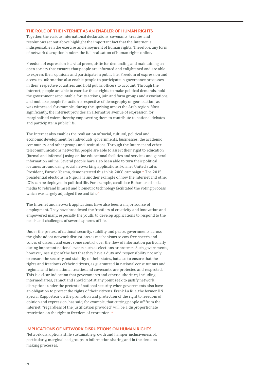### **THE ROLE OF THE INTERNET AS AN ENABLER OF HUMAN RIGHTS**

Together, the various international declarations, covenants, treaties and resolutions set out above highlight the important fact that the Internet is indispensable in the exercise and enjoyment of human rights. Therefore, any form of network disruption hinders the full realisation of human rights online.

Freedom of expression is a vital prerequisite for demanding and maintaining an open society that ensures that people are informed and enlightened and are able to express their opinions and participate in public life. Freedom of expression and access to information also enable people to participate in governance processes in their respective countries and hold public officers to account. Through the Internet, people are able to exercise these rights to make political demands, hold the government accountable for its actions, join and form groups and associations, and mobilise people for action irrespective of demography or geo-location, as was witnessed, for example, during the uprising across the Arab region. Most significantly, the Internet provides an alternative avenue of expression for marginalised voices thereby empowering them to contribute to national debates and participate in public life.

The Internet also enables the realisation of social, cultural, political and economic development for individuals, governments, businesses, the academic community, and other groups and institutions. Through the Internet and other telecommunications networks, people are able to assert their right to education (formal and informal) using online educational facilities and services and general information online. Several people have also been able to turn their political fortunes around using social networking applications. Former United States President, Barack Obama, demonstrated this in his 2008 campaign.16 The 2015 presidential elections in Nigeria is another example of how the Internet and other ICTs can be deployed in political life. For example, candidate Buhari used social media to rebrand himself and biometric technology facilitated the voting process which was largely adjudged free and fair.<sup>17</sup>

The Internet and network applications have also been a major source of employment. They have broadened the frontiers of creativity and innovation and empowered many, especially the youth, to develop applications to respond to the needs and challenges of several spheres of life.

Under the pretext of national security, stability and peace, governments across the globe adopt network disruptions as mechanisms to cow free speech and voices of dissent and exert some control over the flow of information particularly during important national events such as elections or protests. Such governments, however, lose sight of the fact that they have a duty and responsibility not only to ensure the security and stability of their states, but also to ensure that the rights and freedoms of their citizens, as guaranteed in national constitutions and regional and international treaties and covenants, are protected and respected. This is a clear indication that governments and other authorities, including intermediaries, cannot and should not at any point seek to justify network disruptions under the pretext of national security when governments also have an obligation to protect the rights of their citizens. Frank La Rue, the former UN Special Rapporteur on the promotion and protection of the right to freedom of opinion and expression, has said, for example, that cutting people off from the Internet, "regardless of the justification provided" will be a disproportionate restriction on the right to freedom of expression.18

### **IMPLICATIONS OF NETWORK DISRUPTIONS ON HUMAN RIGHTS**

Network disruptions stifle sustainable growth and hamper inclusiveness of, particularly, marginalised groups in information sharing and in the decisionmaking processes.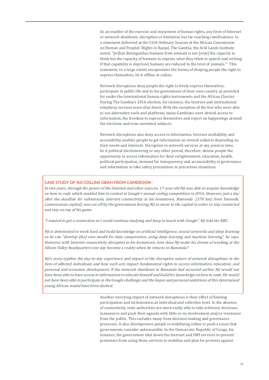As an enabler of the exercise and enjoyment of human rights, any form of Internet or network shutdown, disruption or limitation has far-reaching ramifications. In a statement delivered at the 53rd Ordinary Session of the African Commission on Human and Peoples' Rights in Banjul, The Gambia, the Arid Lands Institute noted, "[w]hat distinguishes humans from animals is not [only] the capacity to think but the capacity of humans to express what they think in speech and writing. If that capability is deprived, humans are reduced to the level of animals."<sup>19</sup> This statement, to a large extent encapsulates the harms of denying people the right to express themselves, be it offline or online.

Network disruptions deny people the right to freely express themselves, participate in public life and in the government of their own country as provided for under the international human rights instruments and the African Charter. During The Gambia's 2016 election, for instance, the Internet and international telephony services were shut down. With the exception of the few who were able to use alternative tools and platforms, many Gambians were denied access to information, the freedom to express themselves and report on happenings around the elections and even unrelated subjects.

Network disruptions also deny access to information. Internet availability and accessibility enables people to get information on several subjects depending on their needs and interests. Disruption in network services at any point in time, be it political electioneering or any other period, therefore, denies people the opportunity to access information for their enlightenment, education, health, political participation, demand for transparency and accountability in governance and information to take safety precautions in precarious situations.

#### **CASE STUDY OF NJI COLLINS GBAH FROM CAMEROON**<sup>22</sup>

In two years, through the power of the Internet and other sources, 17-year old Nji was able to acquire knowledge on how to code which enabled him to contest in Google's annual coding competition in 2016. However, just a day after the deadline for submission, Internet connectivity in his hometown, Bamenda (370 km) from Yaoundé, Cameroonian capital), was cut off by the government forcing Nji to move to the capital in order to stay connected and stay on top of his game.

"I wanted to get a connection so I could continue studying and keep in touch with Google", Nji told the BBC.

Nji is determined to work hard and build knowledge on artificial intelligence, neural networks and deep learning so he can "develop [his] own model for data compression, using deep learning and machine learning", he says. However, with Internet connectivity disrupted in his hometown, how does Nji make his dream of working at the Silicon Valley headquarters one day become a reality when he returns to Bamenda?

Nji's story typifies the day-to-day experience and impact of the disruptive nature of network disruptions in the lives of affected individuals and how such acts impact fundamental rights to access information, education, and personal and economic development. If the network shutdown in Bamenda had occurred earlier, Nji would not have been able to have access to information to educate himself and build his knowledge on how to code. He would not have been able to participate in the Google challenge and the hopes and personal ambitions of this determined young African would have been dashed.

> Another worrying impact of network disruptions is their effect of limiting participation and inclusiveness.at individual and collective level. In the absence of connectivity, state authorities are more easily able to take arbitrary decisions, manoeuvre and push their agenda with little or no involvement and/or resistance from the public. This excludes many from decision-making and governance processes. It also disempowers people in mobilising online to push a cause that governments consider unfavourable. In the Democratic Republic of Congo, for instance, the government shut down the Internet and SMS services to prevent protesters from using those services to mobilise and plan for protests against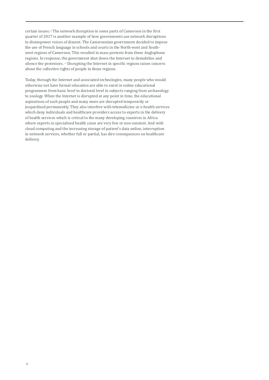certain issues.20 The network disruption in some parts of Cameroon in the first quarter of 2017 is another example of how governments use network disruptions to disempower voices of dissent. The Cameroonian government decided to impose the use of French language in schools and courts in the North-west and Southwest regions of Cameroon. This resulted in mass protests from these Anglophone regions. In response, the government shut down the Internet to demobilise and silence the protestors. <sup>21</sup> Disrupting the Internet in specific regions raises concern about the collective rights of people in those regions.

Today, through the Internet and associated technologies, many people who would otherwise not have formal education are able to enrol in online educational programmes from basic level to doctoral level in subjects ranging from archaeology to zoology. When the Internet is disrupted at any point in time, the educational aspirations of such people and many more are disrupted temporarily or jeopardised permanently. They also interfere with telemedicine or e-health services which deny individuals and healthcare providers access to experts in the delivery of health services which is critical to the many developing countries in Africa where experts in specialised health cases are very few or non-existent. And with cloud computing and the increasing storage of patient's data online, interruption in network services, whether full or partial, has dire consequences on healthcare delivery.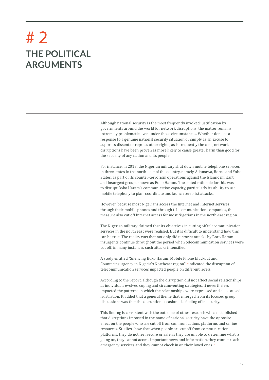# **THE POLITICAL ARGUMENTS** # 2

Although national security is the most frequently invoked justification by governments around the world for network disruptions, the matter remains extremely problematic even under those circumstances. Whether done as a response to a genuine national security situation or simply as an excuse to suppress dissent or repress other rights, as is frequently the case, network disruptions have been proven as more likely to cause greater harm than good for the security of any nation and its people.

For instance, in 2013, the Nigerian military shut down mobile telephone services in three states in the north-east of the country, namely Adamawa, Borno and Yobe States, as part of its counter-terrorism operations against the Islamic militant and insurgent group, known as Boko Haram. The stated rationale for this was to disrupt Boko Haram's communication capacity, particularly its ability to use mobile telephony to plan, coordinate and launch terrorist attacks.

However, because most Nigerians access the Internet and Internet services through their mobile phones and through telecommunication companies, the measure also cut off Internet access for most Nigerians in the north-east region.

The Nigerian military claimed that its objectives in cutting off telecommunication services in the north east were realised. But it is difficult to understand how this can be true. The reality was that not only did terrorist attacks by Boro Haram insurgents continue throughout the period when telecommunication services were cut off, in many instances such attacks intensified.

A study entitled "Silencing Boko Haram: Mobile Phone Blackout and Counterinsurgency in Nigeria's Northeast region"23 indicated the disruption of telecommunication services impacted people on different levels.

According to the report, although the disruption did not affect social relationships, as individuals evolved coping and circumventing strategies, it nevertheless impacted the patterns in which the relationships were expressed and also caused frustration. It added that a general theme that emerged from its focused group discussions was that the disruption occasioned a feeling of insecurity.

This finding is consistent with the outcome of other research which established that disruptions imposed in the name of national security have the opposite effect on the people who are cut off from communications platforms and online resources. Studies show that when people are cut off from communication platforms, they do not feel secure or safe as they are unable to determine what is going on, they cannot access important news and information, they cannot reach emergency services and they cannot check in on their loved ones.<sup>24</sup>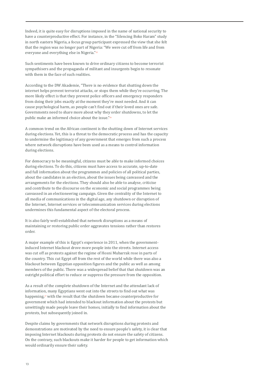Indeed, it is quite easy for disruptions imposed in the name of national security to have a counterproductive effect. For instance, in the "Silencing Boko Haram" study in north eastern Nigeria, a focus group participant expressed the view that she felt that the region was no longer part of Nigeria: "We were cut off from life and from everyone and everything else in Nigeria."<sup>25</sup>

Such sentiments have been known to drive ordinary citizens to become terrorist sympathisers and the propaganda of militant and insurgents begin to resonate with them in the face of such realities.

According to the DW Akademie, "There is no evidence that shutting down the internet helps prevent terrorist attacks, or stops them while they're occurring. The more likely effect is that they prevent police officers and emergency responders from doing their jobs exactly at the moment they're most needed. And it can cause psychological harm, as people can't find out if their loved ones are safe. Governments need to share more about why they order shutdowns, to let the public make an informed choice about the issue."<sup>26</sup>

A common trend on the African continent is the shutting down of Internet services during elections. Yet, this is a threat to the democratic process and has the capacity to undermine the legitimacy of any government that emerges from such a process where network disruptions have been used as a means to control information during elections.

For democracy to be meaningful, citizens must be able to make informed choices during elections. To do this, citizens must have access to accurate, up-to-date and full information about the programmes and policies of all political parties, about the candidates in an election, about the issues being canvassed and the arrangements for the elections. They should also be able to analyse, criticise and contribute to the discourse on the economic and social programmes being canvassed in an electioneering campaign. Given the centrality of the Internet to all media of communications in the digital age, any shutdown or disruption of the Internet, Internet services or telecommunication services during elections undermines this fundamental aspect of the electoral process.

It is also fairly well-established that network disruptions as a means of maintaining or restoring public order aggravates tensions rather than restores order.

A major example of this is Egypt's experience in 2011, when the governmentinduced Internet blackout drove more people into the streets. Internet access was cut off as protests against the regime of Hosni Mubarrak rose in parts of the country. This cut Egypt off from the rest of the world while there was also a blackout between Egyptian opposition figures and the public as well as among members of the public. There was a widespread belief that that shutdown was an outright political effort to reduce or suppress the pressure from the opposition.

As a result of the complete shutdown of the Internet and the attendant lack of information, many Egyptians went out into the streets to find out what was happening,<sup>27</sup> with the result that the shutdown became counterproductive for government which had intended to blackout information about the protests but unwittingly made people leave their homes, initially to find information about the protests, but subsequently joined in.

Despite claims by governments that network disruptions during protests and demonstrations are motivated by the need to ensure people's safety, it is clear that imposing Internet blackouts during protests do not ensure the safety of citizens. On the contrary, such blackouts make it harder for people to get information which would ordinarily ensure their safety.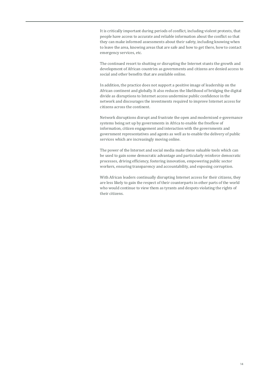It is critically important during periods of conflict, including violent protests, that people have access to accurate and reliable information about the conflict so that they can make informed assessments about their safety, including knowing when to leave the area, knowing areas that are safe and how to get there, how to contact emergency services, etc.

The continued resort to shutting or disrupting the Internet stunts the growth and development of African countries as governments and citizens are denied access to social and other benefits that are available online.

In addition, the practice does not support a positive image of leadership on the African continent and globally. It also reduces the likelihood of bridging the digital divide as disruptions to Internet access undermine public confidence in the network and discourages the investments required to improve Internet access for citizens across the continent.

Network disruptions disrupt and frustrate the open and modernised e-governance systems being set up by governments in Africa to enable the freeflow of information, citizen engagement and interaction with the governments and government representatives and agents as well as to enable the delivery of public services which are increasingly moving online.

The power of the Internet and social media make these valuable tools which can be used to gain some democratic advantage and particularly reinforce democratic processes, driving efficiency, fostering innovation, empowering public sector workers, ensuring transparency and accountability, and exposing corruption.

With African leaders continually disrupting Internet access for their citizens, they are less likely to gain the respect of their counterparts in other parts of the world who would continue to view them as tyrants and despots violating the rights of their citizens.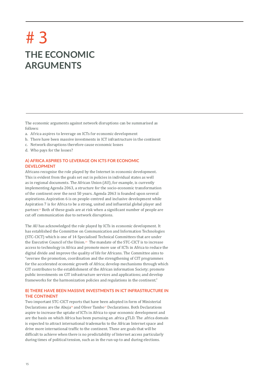# **THE ECONOMIC ARGUMENTS** # 3

The economic arguments against network disruptions can be summarised as follows:

- a. Africa aspires to leverage on ICTs for economic development
- b. There have been massive investments in ICT infrastructure in the continent
- c. Network disruptions therefore cause economic losses
- d. Who pays for the losses?

## **A) AFRICA ASPIRES TO LEVERAGE ON ICTS FOR ECONOMIC DEVELOPMENT**

Africans recognise the role played by the Internet in economic development. This is evident from the goals set out in policies in individual states as well as in regional documents. The African Union (AU), for example, is currently implementing Agenda 2063, a structure for the socio-economic transformation of the continent over the next 50 years. Agenda 2063 is founded upon several aspirations. Aspiration 6 is on people-centred and inclusive development while Aspiration 7 is for Africa to be a strong, united and influential global player and partner.<sup>28</sup> Both of these goals are at risk when a significant number of people are cut off communication due to network disruptions.

The AU has acknowledged the role played by ICTs in economic development. It has established the Committee on Communication and Information Technologies (STC-CICT) which is one of 14 Specialised Technical Committees that are under the Executive Council of the Union.29 The mandate of the STC-CICT is to increase access to technology in Africa and promote more use of ICTs in Africa to reduce the digital divide and improve the quality of life for Africans. The Committee aims to "oversee the promotion, coordination and the strengthening of CIT programmes for the accelerated economic growth of Africa; develop mechanisms through which CIT contributes to the establishment of the African information Society; promote public investments on CIT infrastructure services and applications; and develop frameworks for the harmonization policies and regulations in the continent."

### **B) THERE HAVE BEEN MASSIVE INVESTMENTS IN ICT INFRASTRUCTURE IN THE CONTINENT**

Two important STC-CICT reports that have been adopted in form of Ministerial Declarations are the Abuja<sup>30</sup> and Oliver Tambo<sup>31</sup> Declarations. Both Declarations aspire to increase the uptake of ICTs in Africa to spur economic development and are the basis on which Africa has been pursuing an .africa gTLD. The .africa domain is expected to attract international trademarks to the African Internet space and drive more international traffic to the continent. These are goals that will be difficult to achieve when there is no predictability of Internet access particularly during times of political tension, such as in the run-up to and during elections.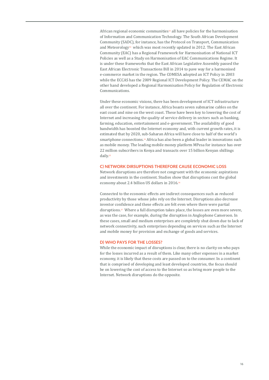African regional economic communities<sup>32</sup> all have policies for the harmonisation of Information and Communication Technology. The South African Development Community (SADC), for instance, has the Protocol on Transport, Communication and Meteorology<sup>33</sup> which was most recently updated in 2012. The East African Community (EAC) has a Regional Framework for Harmonisation of National ICT Policies as well as a Study on Harmonisation of EAC Communications Regime. It is under these frameworks that the East African Legislative Assembly passed the East African Electronic Transactions Bill in 2014 to pave way for a harmonised e-commerce market in the region. The COMESA adopted an ICT Policy in 2003 while the ECCAS has the 2009 Regional ICT Development Policy. The CEMAC on the other hand developed a Regional Harmonisation Policy for Regulation of Electronic Communications.

Under these economic visions, there has been development of ICT infrastructure all over the continent. For instance, Africa boasts seven submarine cables on the east coast and nine on the west coast. These have been key to lowering the cost of Internet and increasing the quality of service delivery in sectors such as banking, farming, education, entertainment and e-government. The availability of good bandwidth has boosted the Internet economy and, with current growth rates, it is estimated that by 2020, sub-Saharan Africa will have close to half of the world's smartphone connections.34 Africa has also been a global leader in innovations such as mobile money. The leading mobile money platform MPesa for instance has over 22 million subscribers in Kenya and transacts over 15 billion Kenyan shillings daily.35

#### **C) NETWORK DIRSUPTIONS THEREFORE CAUSE ECONOMIC LOSS**

Network disruptions are therefore not congruent with the economic aspirations and investments in the continent. Studies show that disruptions cost the global economy about 2.4 billion US dollars in 2016.36

Connected to the economic effects are indirect consequences such as reduced productivity by those whose jobs rely on the Internet. Disruptions also decrease investor confidence and these effects are felt even where there were partial disruptions.<sup>37</sup> Where a full disruption takes place, the losses are even more severe, as was the case, for example, during the disruption in Anglophone Cameroon. In these cases, small and medium enterprises are completely shut down due to lack of network connectivity, such enterprises depending on services such as the Internet and mobile money for provision and exchange of goods and services.

#### **D) WHO PAYS FOR THE LOSSES?**

While the economic impact of disruptions is clear, there is no clarity on who pays for the losses incurred as a result of them. Like many other expenses in a market economy, it is likely that these costs are passed on to the consumer. In a continent that is comprised of developing and least developed countries, the focus should be on lowering the cost of access to the Internet so as bring more people to the Internet. Network disruptions do the opposite.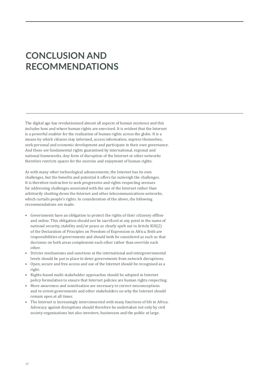## **CONCLUSION AND RECOMMENDATIONS**

The digital age has revolutionised almost all aspects of human existence and this includes how and where human rights are exercised. It is evident that the Internet is a powerful enabler for the realisation of human rights across the globe. It is a means by which citizens stay informed, access information, express themselves, seek personal and economic development and participate in their own governance. And these are fundamental rights guaranteed by international, regional and national frameworks. Any form of disruption of the Internet or other networks therefore restricts spaces for the exercise and enjoyment of human rights.

As with many other technological advancements, the Internet has its own challenges, but the benefits and potential it offers far outweigh the challenges. It is therefore instructive to seek progressive and rights-respecting avenues for addressing challenges associated with the use of the Internet rather than arbitrarily shutting down the Internet and other telecommunications networks, which curtails people's rights. In consideration of the above, the following recommendations are made:

- Governments have an obligation to protect the rights of their citizenry offline and online. This obligation should not be sacrificed at any point in the name of national security, stability and/or peace as clearly spelt out in Article XIII(2) of the Declaration of Principles on Freedom of Expression in Africa. Both are responsibilities of governments and should both be considered as such so that decisions on both areas complement each other rather than override each other.
- Stricter mechanisms and sanctions at the international and intergovernmental levels should be put in place to deter governments from network disruptions.
- Open, secure and free access and use of the Internet should be recognised as a right.
- Rights-based multi-stakeholder approaches should be adopted in Internet policy formulation to ensure that Internet policies are human rights respecting.
- More awareness and sensitisation are necessary to correct misconceptions and re-orient governments and other stakeholders on why the Internet should remain open at all times.
- The Internet is increasingly interconnected with many functions of life in Africa. Advocacy against disruptions should therefore be undertaken not only by civil society organisations but also investors, businesses and the public at large.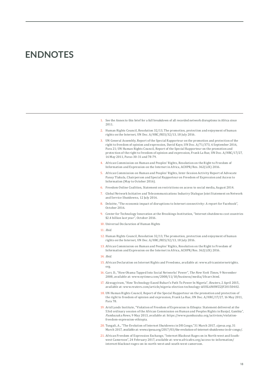## **ENDNOTES**

- 1. See the Annex to this brief for a full breakdown of all recorded network disruptions in Africa since 2011.
- 2. Human Rights Council, Resolution 32/13, The promotion, protection and enjoyment of human rights on the Internet, UN Doc. A/HRC/RES/32/13, 18 July 2016.
- 3. UN General Assembly, Report of the Special Rapporteur on the promotion and protection of the right to freedom of opinion and expression, David Kaye, UN Doc. A/71/373, 6 September 2016, Para 21; UN Human Rights Council, Report of the Special Rapporteur on the promotion and protection of the right to freedom of opinion and expression, Frank La Rue, UN Doc. A/HRC/17/27, 16 May 2011, Paras 30-31 and 78-79.
- 4. African Commission on Human and Peoples' Rights, Resolution on the Right to Freedom of Information and Expression on the Internet in Africa, ACHPR/Res. 362(LIX) 2016.
- 5. African Commission on Human and Peoples' Rights, Inter-Session Activity Report of Advocate Pansy Tlakula, Chairperson and Special Rapporteur on Freedom of Expression and Access to Information (May to October 2016).
- 6. Freedom Online Coalition, Statement on restrictions on access to social media, August 2014.
- 7. Global Network Initiative and Telecommunications Industry Dialogue Joint Statement on Network and Service Shutdowns, 12 July 2016.
- 8. Deloitte, "The economic impact of disruptions to Internet connectivity: A report for Facebook", October 2016.
- 9. Center for Technology Innovation at the Brookings Institution, "Internet shutdowns cost countries \$2.4 billion last year", October 2016.
- 10. Universal Declaration of Human Rights
- 11. Ibid.
- 12. Human Rights Council, Resolution 32/13, The promotion, protection and enjoyment of human rights on the Internet, UN Doc. A/HRC/RES/32/13, 18 July 2016.
- 13. African Commission on Human and Peoples' Rights, Resolution on the Right to Freedom of Information and Expression on the Internet in Africa, ACHPR/Res. 362(LIX) 2016.
- 14. Ibid.
- 15. African Declaration on Internet Rights and Freedoms, available at: www.africaninternetrights. org.
- 16. Carr, D., "How Obama Tapped Into Social Networks' Power", The New York Times, 9 November 2008, available at: www.nytimes.com/2008/11/10/business/media/10carr.html.
- 17. Akwagyiram, "How Technology Eased Buhari's Path To Power In Nigeria", Reuters, 2 April 2015, available at: www.reuters.com/article/nigeria-election-technology-idUSL6N0WZ2JF20150402.
- 18. UN Human Rights Council, Report of the Special Rapporteur on the promotion and protection of the right to freedom of opinion and expression, Frank La Rue, UN Doc. A/HRC/17/27, 16 May 2011, Para 78.
- 19. Arid Lands Institute, "Violation of Freedom of Expression in Ethopia: Statement delivered at the 53rd ordinary session of the African Commission on Human and Peoples Rights in Banjul, Gambia", Pambazuka News, 9 May 2013, available at: https://www.pambazuka.org/activism/violationfreedom-expression-ethiopia.
- 20. Tungali, A., "The Evolution of Internet Shutdowns in DR Congo,"31 March 2017, cipesa.org, 31 March 2017, available at: www.cipesa.org/2017/03/the-evolution-of-internet-shutdowns-in-dr-congo/.
- 21. African Freedom of Expression Exchange, "Internet Blackout Rages on in North-west and Southwest Cameroon", 24 February 2017, available at: www.africafex.org/access-to-information/ internet-blackout-rages-on-in-north-west-and-south-west-cameroon.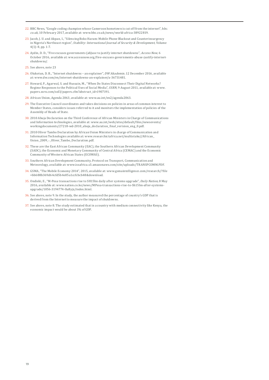- 22. BBC News, "Google coding champion whose Cameroon hometown is cut off from the internet", bbc. co.uk, 10 February 2017, available at: www.bbc.co.uk/news/world-africa-38922819.
- 23. Jacob, J. U. and Akpan, I., "Silencing Boko Haram: Mobile Phone Blackout and Counterinsurgency in Nigeria's Northeast region", Stability: International Journal of Security & Development, Volume 4(1): 8, pp. 1-7.
- 24. Aydin, D. D., "Five excuses governments (ab)use to justify internet shutdowns", Access Now, 6 October 2016, available at: ww.accessnow.org/five-excuses-governments-abuse-justify-internetshutdowns/.
- 25. See above, note 23
- 26. Olukotun, D. B., "Internet shutdowns an explainer", DW Akademie, 12 December 2016, available at: www.dw.com/en/internet-shutdowns-an-explainer/a-36731481.
- 27. Howard, P., Agarwal, S. and Hussain, M., "When Do States Disconnect Their Digital Networks? Regime Responses to the Political Uses of Social Media", SSRN, 9 August 2011, available at: www. papers.ssrn.com/sol3/papers.cfm?abstract\_id=1907191.
- 28. African Union, Agenda 2063, available at: www.au.int/en2/agenda2063.
- 29. The Executive Council coordinates and takes decisions on policies in areas of common interest to Member States, considers issues referred to it and monitors the implementation of policies of the Assembly of Heads of State.
- 30. 2010 Abuja Declaration on the Third Conference of African Ministers in Charge of Communications and Information technologies, available at: www.au.int/web/sites/default/files/newsevents/ workingdocuments/27218-wd-2010\_abuja\_declaration\_final\_verision\_eng\_0.pdf.
- 31. 2010 Oliver Tambo Declaration by African Union Ministers in charge of Communication and Information Technologies available at: www.researchictafrica.net/multistake//African\_ Union\_2009\_-\_Oliver\_Tambo\_Declaration.pdf.
- 32. These are the East African Community (EAC), the Southern African Development Community (SADC), the Economic and Monetary Community of Central Africa (CEMAC) and the Economic Community of Western African States (ECOWAS).
- 33. Southern African Development Community, Protocol on Transport, Communication and Meteorology, available at: www.issafrica.s3.amazonaws.com/site/uploads/TRANSPCOMM.PDF.
- 34. GSMA, "The Mobile Economy 2014", 2015, available at: www.gsmaintelligence.com/research/?file =bb688b369d64cfd5b4e05a1ccfcbcb48&download.
- 35. Ondieki, E., "M-Pesa transactions rise to SH15bn daily after systems upgrade", Daily Nation, 8 May 2016, available at: www.nation.co.ke/news/MPesa-transactions-rise-to-Sh15bn-after-systemsupgrade/1056-3194774-llu8yjz/index.html.
- 36. See above, note 9. In the study, the author measured the percentage of country's GDP that is derived from the Internet to measure the impact of shutdowns.
- 37. See above, note 8. The study estimated that in a country with medium connectivity like Kenya, the economic impact would be about 1% of GDP.